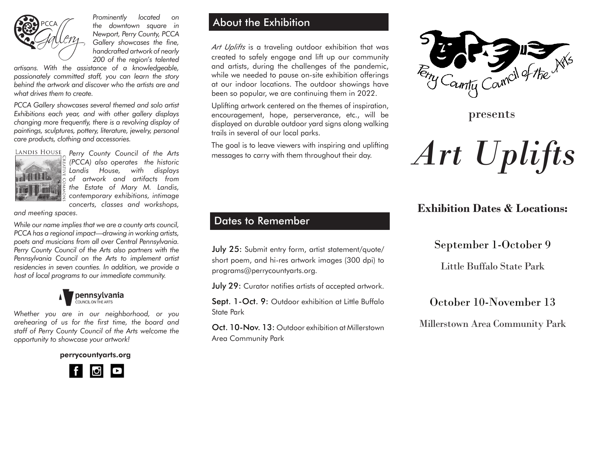

*Prominently located on the downtown square in Newport, Perry County, PCCA Gallery showcases the fine, handcrafted artwork of nearly 200 of the region's talented* 

*artisans. With the assistance of a knowledgeable, passionately committed staff, you can learn the story behind the artwork and discover who the artists are and what drives them to create.*

*PCCA Gallery showcases several themed and solo artist Exhibitions each year, and with other gallery displays changing more frequently, there is a revolving display of paintings, sculptures, pottery, literature, jewelry, personal care products, clothing and accessories.*



*Landis House, with displays of artwork and artifacts from the Estate of Mary M. Landis, contemporary exhibitions, intimage concerts, classes and workshops,*

*and meeting spaces.* 

*While our name implies that we are a county arts council, PCCA has a regional impact—drawing in working artists, poets and musicians from all over Central Pennsylvania. Perry County Council of the Arts also partners with the Pennsylvania Council on the Arts to implement artist residencies in seven counties. In addition, we provide a host of local programs to our immediate community.*



*Whether you are in our neighborhood, or you arehearing of us for the first time, the board and staff of Perry County Council of the Arts welcome the opportunity to showcase your artwork!* 

perrycountyarts.org



## About the Exhibition

*Art Uplifts* is a traveling outdoor exhibition that was created to safely engage and lift up our community and artists, during the challenges of the pandemic, while we needed to pause on-site exhibition offerings at our indoor locations. The outdoor showings have been so popular, we are continuing them in 2022.

Uplifting artwork centered on the themes of inspiration, encouragement, hope, perserverance, etc., will be displayed on durable outdoor yard signs along walking trails in several of our local parks.

The goal is to leave viewers with inspiring and uplifting *Perry County Council of the Arts* messages to carry with them throughout their day. *(PCCA) also operates the historic* 

# Dates to Remember

July 25: Submit entry form, artist statement/quote/ short poem, and hi-res artwork images (300 dpi) to programs@perrycountyarts.org.

July 29: Curator notifies artists of accepted artwork.

Sept. 1-Oct. 9: Outdoor exhibition at Little Buffalo State Park

Oct. 10-Nov. 13: Outdoor exhibition at Millerstown Area Community Park



presents



# **Exhibition Dates & Locations:**

### September 1-October 9

Little Buffalo State Park

# October 10-November 13

Millerstown Area Community Park